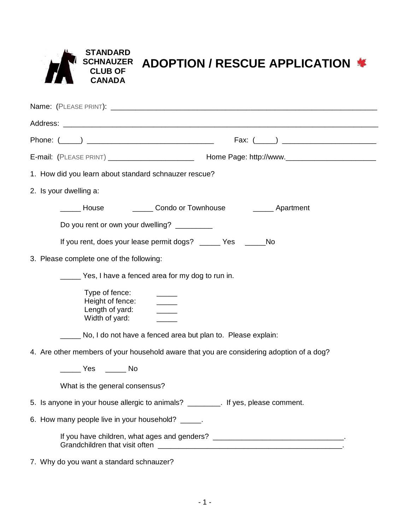| <b>STANDARD</b><br><b>CLUB OF</b><br><b>IA</b><br><b>CANADA</b> | SCHNAUZER ADOPTION / RESCUE APPLICATION * |
|-----------------------------------------------------------------|-------------------------------------------|
| Name: (PLEASE PRINT): __________                                |                                           |

| E-mail: (PLEASE PRINT) _________________________ Home Page: http://www.____________________________ |                                                                         |                                                                                  |  |  |  |  |
|-----------------------------------------------------------------------------------------------------|-------------------------------------------------------------------------|----------------------------------------------------------------------------------|--|--|--|--|
|                                                                                                     | 1. How did you learn about standard schnauzer rescue?                   |                                                                                  |  |  |  |  |
| 2. Is your dwelling a:                                                                              |                                                                         |                                                                                  |  |  |  |  |
|                                                                                                     |                                                                         | Mouse Manuel Condo or Townhouse Apartment                                        |  |  |  |  |
|                                                                                                     | Do you rent or own your dwelling? _________                             |                                                                                  |  |  |  |  |
|                                                                                                     | If you rent, does your lease permit dogs? _____ Yes _____<br><b>No</b>  |                                                                                  |  |  |  |  |
| 3. Please complete one of the following:                                                            |                                                                         |                                                                                  |  |  |  |  |
|                                                                                                     | Yes, I have a fenced area for my dog to run in.                         |                                                                                  |  |  |  |  |
|                                                                                                     | Type of fence:<br>Height of fence:<br>Length of yard:<br>Width of yard: |                                                                                  |  |  |  |  |
|                                                                                                     | ____ No, I do not have a fenced area but plan to. Please explain:       |                                                                                  |  |  |  |  |
| 4. Are other members of your household aware that you are considering adoption of a dog?            |                                                                         |                                                                                  |  |  |  |  |
|                                                                                                     |                                                                         |                                                                                  |  |  |  |  |
|                                                                                                     | What is the general consensus?                                          |                                                                                  |  |  |  |  |
| 5. Is anyone in your house allergic to animals? ________. If yes, please comment.                   |                                                                         |                                                                                  |  |  |  |  |
| 6. How many people live in your household? _____.                                                   |                                                                         |                                                                                  |  |  |  |  |
|                                                                                                     |                                                                         | If you have children, what ages and genders? ___________________________________ |  |  |  |  |
| 7. Why do you want a standard schnauzer?                                                            |                                                                         |                                                                                  |  |  |  |  |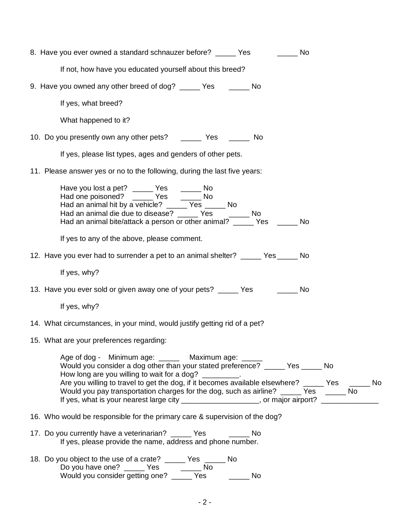| 8. Have you ever owned a standard schnauzer before? _____ Yes<br>in a No                                                                                                                                                                                                                                                                                                                                                                                                                  |
|-------------------------------------------------------------------------------------------------------------------------------------------------------------------------------------------------------------------------------------------------------------------------------------------------------------------------------------------------------------------------------------------------------------------------------------------------------------------------------------------|
| If not, how have you educated yourself about this breed?                                                                                                                                                                                                                                                                                                                                                                                                                                  |
| 9. Have you owned any other breed of dog? _____ Yes ______ No                                                                                                                                                                                                                                                                                                                                                                                                                             |
| If yes, what breed?                                                                                                                                                                                                                                                                                                                                                                                                                                                                       |
| What happened to it?                                                                                                                                                                                                                                                                                                                                                                                                                                                                      |
| 10. Do you presently own any other pets? _________ Yes ________ No                                                                                                                                                                                                                                                                                                                                                                                                                        |
| If yes, please list types, ages and genders of other pets.                                                                                                                                                                                                                                                                                                                                                                                                                                |
| 11. Please answer yes or no to the following, during the last five years:                                                                                                                                                                                                                                                                                                                                                                                                                 |
| Have you lost a pet? ______ Yes _______ No<br>Had one poisoned? _____ Yes _____ No<br>Had an animal hit by a vehicle? _____ Yes _____ No<br>Had an animal die due to disease? ______ Yes<br>$\frac{1}{\sqrt{1-\frac{1}{2}}}$ No<br>Had an animal bite/attack a person or other animal? ______ Yes ______ No                                                                                                                                                                               |
| If yes to any of the above, please comment.                                                                                                                                                                                                                                                                                                                                                                                                                                               |
| 12. Have you ever had to surrender a pet to an animal shelter? _____ Yes _____ No                                                                                                                                                                                                                                                                                                                                                                                                         |
| If yes, why?                                                                                                                                                                                                                                                                                                                                                                                                                                                                              |
| 13. Have you ever sold or given away one of your pets? _____ Yes ______ No                                                                                                                                                                                                                                                                                                                                                                                                                |
| If yes, why?                                                                                                                                                                                                                                                                                                                                                                                                                                                                              |
| 14. What circumstances, in your mind, would justify getting rid of a pet?                                                                                                                                                                                                                                                                                                                                                                                                                 |
| 15. What are your preferences regarding:                                                                                                                                                                                                                                                                                                                                                                                                                                                  |
| Age of dog - Minimum age: ______ Maximum age: _____<br>Would you consider a dog other than your stated preference? _____ Yes _____ No<br>How long are you willing to wait for a dog? _________.<br>Are you willing to travel to get the dog, if it becomes available elsewhere? _____ Yes _____ No<br>Would you pay transportation charges for the dog, such as airline? _____ Yes _____ No<br>If yes, what is your nearest large city __________________, or major airport? ____________ |
| 16. Who would be responsible for the primary care & supervision of the dog?                                                                                                                                                                                                                                                                                                                                                                                                               |
| 17. Do you currently have a veterinarian? _____ Yes ______ No<br>If yes, please provide the name, address and phone number.                                                                                                                                                                                                                                                                                                                                                               |
| 18. Do you object to the use of a crate? _____ Yes _____ No<br>Do you have one? ______ Yes _______ No<br>Would you consider getting one? ______ Yes _____<br>No                                                                                                                                                                                                                                                                                                                           |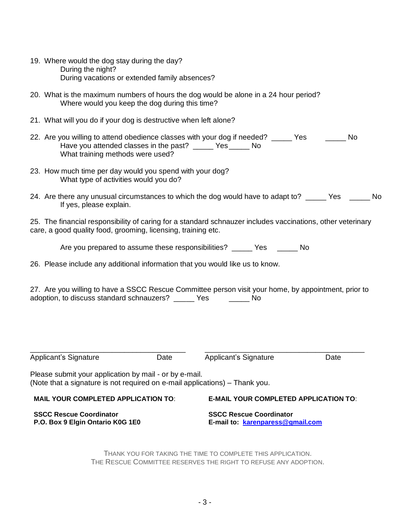| Applicant's Signature<br><b>Applicant's Signature</b><br>Date<br>Date                                                                                                                              |  |  |  |  |  |  |
|----------------------------------------------------------------------------------------------------------------------------------------------------------------------------------------------------|--|--|--|--|--|--|
|                                                                                                                                                                                                    |  |  |  |  |  |  |
| 27. Are you willing to have a SSCC Rescue Committee person visit your home, by appointment, prior to<br>adoption, to discuss standard schnauzers? _____ Yes ______ No                              |  |  |  |  |  |  |
| 26. Please include any additional information that you would like us to know.                                                                                                                      |  |  |  |  |  |  |
| Are you prepared to assume these responsibilities? ______ Yes ______ No                                                                                                                            |  |  |  |  |  |  |
| 25. The financial responsibility of caring for a standard schnauzer includes vaccinations, other veterinary<br>care, a good quality food, grooming, licensing, training etc.                       |  |  |  |  |  |  |
| 24. Are there any unusual circumstances to which the dog would have to adapt to? _____ Yes _____ No<br>If yes, please explain.                                                                     |  |  |  |  |  |  |
| 23. How much time per day would you spend with your dog?<br>What type of activities would you do?                                                                                                  |  |  |  |  |  |  |
| 22. Are you willing to attend obedience classes with your dog if needed? ______ Yes ________ No<br>Have you attended classes in the past? ______ Yes ______ No<br>What training methods were used? |  |  |  |  |  |  |
| 21. What will you do if your dog is destructive when left alone?                                                                                                                                   |  |  |  |  |  |  |
| Where would you keep the dog during this time?                                                                                                                                                     |  |  |  |  |  |  |
| 20. What is the maximum numbers of hours the dog would be alone in a 24 hour period?                                                                                                               |  |  |  |  |  |  |
| 19. Where would the dog stay during the day?<br>During the night?<br>During vacations or extended family absences?                                                                                 |  |  |  |  |  |  |

THANK YOU FOR TAKING THE TIME TO COMPLETE THIS APPLICATION. THE RESCUE COMMITTEE RESERVES THE RIGHT TO REFUSE ANY ADOPTION.